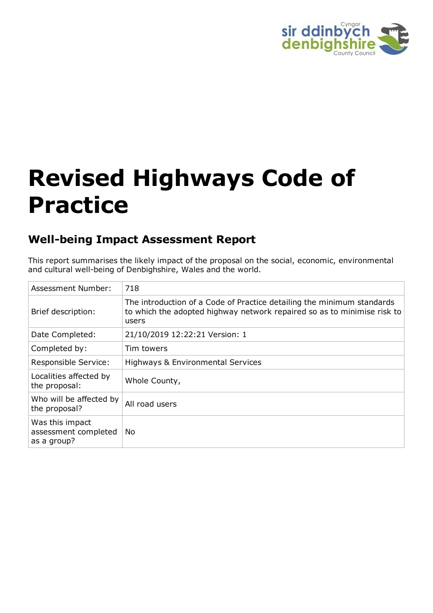

# **Revised Highways Code of Practice**

# **Well-being Impact Assessment Report**

This report summarises the likely impact of the proposal on the social, economic, environmental and cultural well-being of Denbighshire, Wales and the world.

| Assessment Number:                                     | 718                                                                                                                                                        |
|--------------------------------------------------------|------------------------------------------------------------------------------------------------------------------------------------------------------------|
| Brief description:                                     | The introduction of a Code of Practice detailing the minimum standards<br>to which the adopted highway network repaired so as to minimise risk to<br>users |
| Date Completed:                                        | 21/10/2019 12:22:21 Version: 1                                                                                                                             |
| Completed by:                                          | Tim towers                                                                                                                                                 |
| Responsible Service:                                   | Highways & Environmental Services                                                                                                                          |
| Localities affected by<br>the proposal:                | Whole County,                                                                                                                                              |
| Who will be affected by<br>the proposal?               | All road users                                                                                                                                             |
| Was this impact<br>assessment completed<br>as a group? | No                                                                                                                                                         |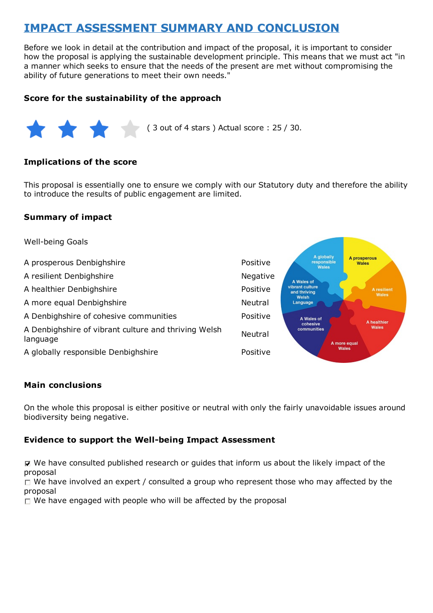# **IMPACT ASSESSMENT SUMMARY AND CONCLUSION**

Before we look in detail at the contribution and impact of the proposal, it is important to consider how the proposal is applying the sustainable development principle. This means that we must act "in a manner which seeks to ensure that the needs of the present are met without compromising the ability of future generations to meet their own needs."

#### **Score for the sustainability of the approach**



( 3 out of 4 stars ) Actual score : 25 / 30.

#### **Implications of the score**

This proposal is essentially one to ensure we comply with our Statutory duty and therefore the ability to introduce the results of public engagement are limited.

#### **Summary of impact**



#### **Main conclusions**

On the whole this proposal is either positive or neutral with only the fairly unavoidable issues around biodiversity being negative.

#### **Evidence to support the Well-being Impact Assessment**

 $\nabla$  We have consulted published research or guides that inform us about the likely impact of the proposal

 $\Box$  We have involved an expert / consulted a group who represent those who may affected by the proposal

 $\Box$  We have engaged with people who will be affected by the proposal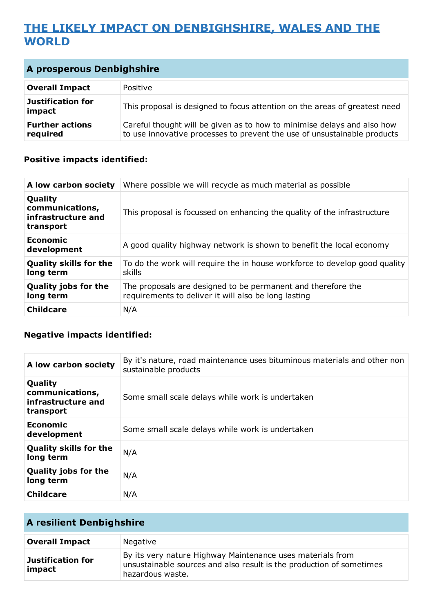# **THE LIKELY IMPACT ON DENBIGHSHIRE, WALES AND THE WORLD**

| A prosperous Denbighshire          |                                                                                                                                                     |
|------------------------------------|-----------------------------------------------------------------------------------------------------------------------------------------------------|
| <b>Overall Impact</b>              | Positive                                                                                                                                            |
| <b>Justification for</b><br>impact | This proposal is designed to focus attention on the areas of greatest need                                                                          |
| <b>Further actions</b><br>required | Careful thought will be given as to how to minimise delays and also how<br>to use innovative processes to prevent the use of unsustainable products |

## **Positive impacts identified:**

| A low carbon society                                          | Where possible we will recycle as much material as possible                                                          |
|---------------------------------------------------------------|----------------------------------------------------------------------------------------------------------------------|
| Quality<br>communications,<br>infrastructure and<br>transport | This proposal is focussed on enhancing the quality of the infrastructure                                             |
| Economic<br>development                                       | A good quality highway network is shown to benefit the local economy                                                 |
| <b>Quality skills for the</b><br>long term                    | To do the work will require the in house workforce to develop good quality<br>skills                                 |
| <b>Quality jobs for the</b><br>long term                      | The proposals are designed to be permanent and therefore the<br>requirements to deliver it will also be long lasting |
| <b>Childcare</b>                                              | N/A                                                                                                                  |

## **Negative impacts identified:**

| A low carbon society                                          | By it's nature, road maintenance uses bituminous materials and other non<br>sustainable products |
|---------------------------------------------------------------|--------------------------------------------------------------------------------------------------|
| Quality<br>communications,<br>infrastructure and<br>transport | Some small scale delays while work is undertaken                                                 |
| Economic<br>development                                       | Some small scale delays while work is undertaken                                                 |
| <b>Quality skills for the</b><br>long term                    | N/A                                                                                              |
| <b>Quality jobs for the</b><br>long term                      | N/A                                                                                              |
| <b>Childcare</b>                                              | N/A                                                                                              |

| <b>A resilient Denbighshire</b>    |                                                                                                                                                        |
|------------------------------------|--------------------------------------------------------------------------------------------------------------------------------------------------------|
| <b>Overall Impact</b>              | Negative                                                                                                                                               |
| <b>Justification for</b><br>impact | By its very nature Highway Maintenance uses materials from<br>unsustainable sources and also result is the production of sometimes<br>hazardous waste. |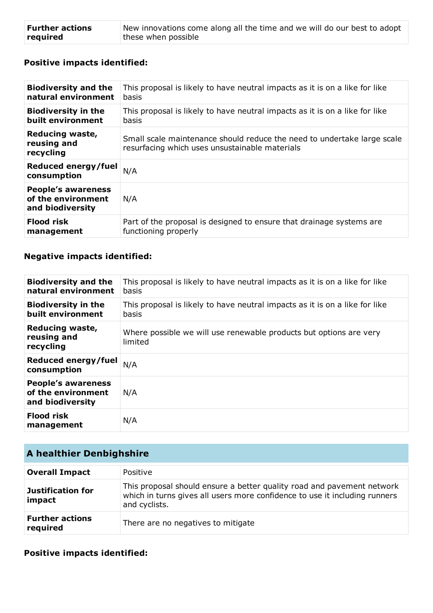| <b>Further actions</b> | New innovations come along all the time and we will do our best to adopt |
|------------------------|--------------------------------------------------------------------------|
| required               | these when possible                                                      |

## **Positive impacts identified:**

| <b>Biodiversity and the</b>                                         | This proposal is likely to have neutral impacts as it is on a like for like                                               |
|---------------------------------------------------------------------|---------------------------------------------------------------------------------------------------------------------------|
| natural environment                                                 | <b>basis</b>                                                                                                              |
| <b>Biodiversity in the</b>                                          | This proposal is likely to have neutral impacts as it is on a like for like                                               |
| built environment                                                   | basis                                                                                                                     |
| Reducing waste,<br>reusing and<br>recycling                         | Small scale maintenance should reduce the need to undertake large scale<br>resurfacing which uses unsustainable materials |
| Reduced energy/fuel<br>consumption                                  | N/A                                                                                                                       |
| <b>People's awareness</b><br>of the environment<br>and biodiversity | N/A                                                                                                                       |
| <b>Flood risk</b>                                                   | Part of the proposal is designed to ensure that drainage systems are                                                      |
| management                                                          | functioning properly                                                                                                      |

## **Negative impacts identified:**

| <b>Biodiversity and the</b><br>natural environment                  | This proposal is likely to have neutral impacts as it is on a like for like<br>basis |
|---------------------------------------------------------------------|--------------------------------------------------------------------------------------|
| <b>Biodiversity in the</b><br>built environment                     | This proposal is likely to have neutral impacts as it is on a like for like<br>basis |
| Reducing waste,<br>reusing and<br>recycling                         | Where possible we will use renewable products but options are very<br>limited        |
| Reduced energy/fuel<br>consumption                                  | N/A                                                                                  |
| <b>People's awareness</b><br>of the environment<br>and biodiversity | N/A                                                                                  |
| <b>Flood risk</b><br>management                                     | N/A                                                                                  |

| A healthier Denbighshire           |                                                                                                                                                                       |
|------------------------------------|-----------------------------------------------------------------------------------------------------------------------------------------------------------------------|
| <b>Overall Impact</b>              | Positive                                                                                                                                                              |
| <b>Justification for</b><br>impact | This proposal should ensure a better quality road and pavement network<br>which in turns gives all users more confidence to use it including runners<br>and cyclists. |
| <b>Further actions</b><br>required | There are no negatives to mitigate                                                                                                                                    |

#### **Positive impacts identified:**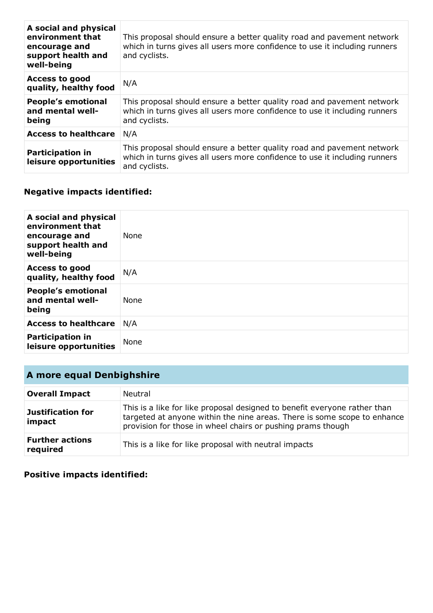| A social and physical<br>environment that<br>encourage and<br>support health and<br>well-being | This proposal should ensure a better quality road and pavement network<br>which in turns gives all users more confidence to use it including runners<br>and cyclists. |
|------------------------------------------------------------------------------------------------|-----------------------------------------------------------------------------------------------------------------------------------------------------------------------|
| <b>Access to good</b><br>quality, healthy food                                                 | N/A                                                                                                                                                                   |
| <b>People's emotional</b><br>and mental well-<br>being                                         | This proposal should ensure a better quality road and pavement network<br>which in turns gives all users more confidence to use it including runners<br>and cyclists. |
| <b>Access to healthcare</b>                                                                    | N/A                                                                                                                                                                   |
| <b>Participation in</b><br>leisure opportunities                                               | This proposal should ensure a better quality road and pavement network<br>which in turns gives all users more confidence to use it including runners<br>and cyclists. |

## **Negative impacts identified:**

| A social and physical<br>environment that<br>encourage and<br>support health and<br>well-being | <b>None</b> |
|------------------------------------------------------------------------------------------------|-------------|
| <b>Access to good</b><br>quality, healthy food                                                 | N/A         |
| <b>People's emotional</b><br>and mental well-<br>being                                         | None        |
| <b>Access to healthcare</b>                                                                    | N/A         |
| <b>Participation in</b><br>leisure opportunities                                               | None        |

# **A more equal Denbighshire**

| <b>Overall Impact</b>              | Neutral                                                                                                                                                                                                              |
|------------------------------------|----------------------------------------------------------------------------------------------------------------------------------------------------------------------------------------------------------------------|
| <b>Justification for</b><br>impact | This is a like for like proposal designed to benefit everyone rather than<br>targeted at anyone within the nine areas. There is some scope to enhance<br>provision for those in wheel chairs or pushing prams though |
| <b>Further actions</b><br>required | This is a like for like proposal with neutral impacts                                                                                                                                                                |

#### **Positive impacts identified:**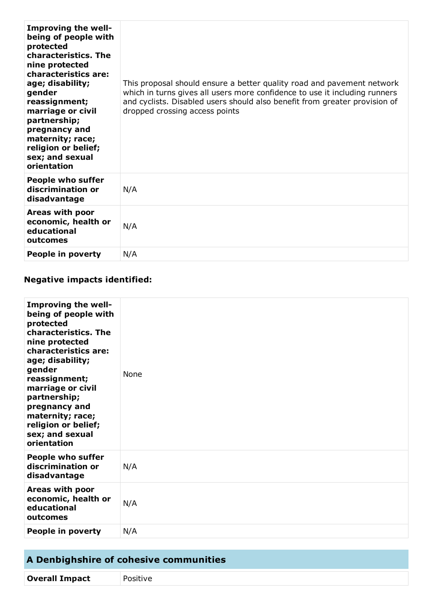| <b>Improving the well-</b><br>being of people with<br>protected<br>characteristics. The<br>nine protected<br>characteristics are:<br>age; disability;<br>gender<br>reassignment;<br>marriage or civil<br>partnership;<br>pregnancy and<br>maternity; race;<br>religion or belief;<br>sex; and sexual<br>orientation | This proposal should ensure a better quality road and pavement network<br>which in turns gives all users more confidence to use it including runners<br>and cyclists. Disabled users should also benefit from greater provision of<br>dropped crossing access points |
|---------------------------------------------------------------------------------------------------------------------------------------------------------------------------------------------------------------------------------------------------------------------------------------------------------------------|----------------------------------------------------------------------------------------------------------------------------------------------------------------------------------------------------------------------------------------------------------------------|
| <b>People who suffer</b><br>discrimination or<br>disadvantage                                                                                                                                                                                                                                                       | N/A                                                                                                                                                                                                                                                                  |
| Areas with poor<br>economic, health or<br>educational<br>outcomes                                                                                                                                                                                                                                                   | N/A                                                                                                                                                                                                                                                                  |
| People in poverty                                                                                                                                                                                                                                                                                                   | N/A                                                                                                                                                                                                                                                                  |

## **Negative impacts identified:**

| <b>Improving the well-</b><br>being of people with<br>protected<br>characteristics. The<br>nine protected<br>characteristics are:<br>age; disability;<br>gender<br>reassignment;<br>marriage or civil<br>partnership;<br>pregnancy and<br>maternity; race;<br>religion or belief;<br>sex; and sexual<br>orientation | None |
|---------------------------------------------------------------------------------------------------------------------------------------------------------------------------------------------------------------------------------------------------------------------------------------------------------------------|------|
| <b>People who suffer</b><br>discrimination or<br>disadvantage                                                                                                                                                                                                                                                       | N/A  |
| Areas with poor<br>economic, health or<br>educational<br>outcomes                                                                                                                                                                                                                                                   | N/A  |
| <b>People in poverty</b>                                                                                                                                                                                                                                                                                            | N/A  |

| A Denbighshire of cohesive communities |          |
|----------------------------------------|----------|
| <b>Overall Impact</b>                  | Positive |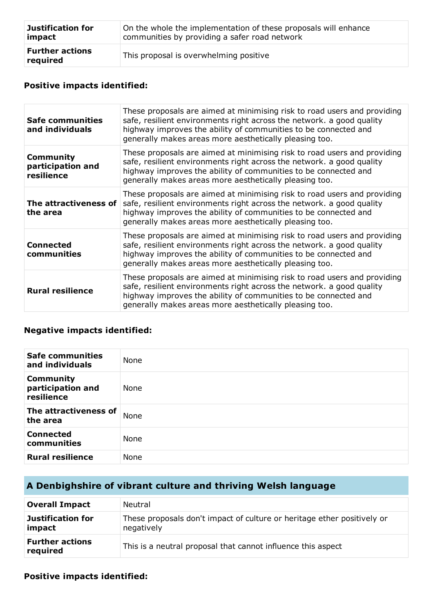| <b>Justification for</b>           | On the whole the implementation of these proposals will enhance |
|------------------------------------|-----------------------------------------------------------------|
| impact                             | communities by providing a safer road network                   |
| <b>Further actions</b><br>required | This proposal is overwhelming positive                          |

## **Positive impacts identified:**

| Safe communities<br>and individuals                 | These proposals are aimed at minimising risk to road users and providing<br>safe, resilient environments right across the network. a good quality<br>highway improves the ability of communities to be connected and<br>generally makes areas more aesthetically pleasing too. |
|-----------------------------------------------------|--------------------------------------------------------------------------------------------------------------------------------------------------------------------------------------------------------------------------------------------------------------------------------|
| <b>Community</b><br>participation and<br>resilience | These proposals are aimed at minimising risk to road users and providing<br>safe, resilient environments right across the network. a good quality<br>highway improves the ability of communities to be connected and<br>generally makes areas more aesthetically pleasing too. |
| The attractiveness of<br>the area                   | These proposals are aimed at minimising risk to road users and providing<br>safe, resilient environments right across the network. a good quality<br>highway improves the ability of communities to be connected and<br>generally makes areas more aesthetically pleasing too. |
| <b>Connected</b><br>communities                     | These proposals are aimed at minimising risk to road users and providing<br>safe, resilient environments right across the network. a good quality<br>highway improves the ability of communities to be connected and<br>generally makes areas more aesthetically pleasing too. |
| <b>Rural resilience</b>                             | These proposals are aimed at minimising risk to road users and providing<br>safe, resilient environments right across the network. a good quality<br>highway improves the ability of communities to be connected and<br>generally makes areas more aesthetically pleasing too. |

#### **Negative impacts identified:**

| <b>Safe communities</b><br>and individuals          | None        |
|-----------------------------------------------------|-------------|
| <b>Community</b><br>participation and<br>resilience | <b>None</b> |
| The attractiveness of<br>the area                   | None        |
| <b>Connected</b><br>communities                     | None        |
| <b>Rural resilience</b>                             | None        |

# **A Denbighshire of vibrant culture and thriving Welsh language**

| <b>Overall Impact</b>              | <b>Neutral</b>                                                                        |
|------------------------------------|---------------------------------------------------------------------------------------|
| <b>Justification for</b><br>impact | These proposals don't impact of culture or heritage ether positively or<br>negatively |
| <b>Further actions</b><br>required | This is a neutral proposal that cannot influence this aspect                          |

#### **Positive impacts identified:**